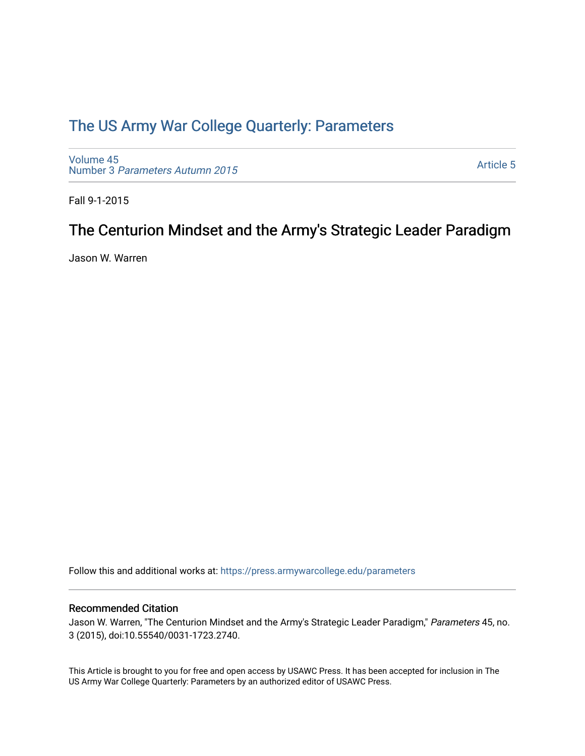# [The US Army War College Quarterly: Parameters](https://press.armywarcollege.edu/parameters)

[Volume 45](https://press.armywarcollege.edu/parameters/vol45) Number 3 [Parameters Autumn 2015](https://press.armywarcollege.edu/parameters/vol45/iss3)

[Article 5](https://press.armywarcollege.edu/parameters/vol45/iss3/5) 

Fall 9-1-2015

# The Centurion Mindset and the Army's Strategic Leader Paradigm

Jason W. Warren

Follow this and additional works at: [https://press.armywarcollege.edu/parameters](https://press.armywarcollege.edu/parameters?utm_source=press.armywarcollege.edu%2Fparameters%2Fvol45%2Fiss3%2F5&utm_medium=PDF&utm_campaign=PDFCoverPages) 

## Recommended Citation

Jason W. Warren, "The Centurion Mindset and the Army's Strategic Leader Paradigm," Parameters 45, no. 3 (2015), doi:10.55540/0031-1723.2740.

This Article is brought to you for free and open access by USAWC Press. It has been accepted for inclusion in The US Army War College Quarterly: Parameters by an authorized editor of USAWC Press.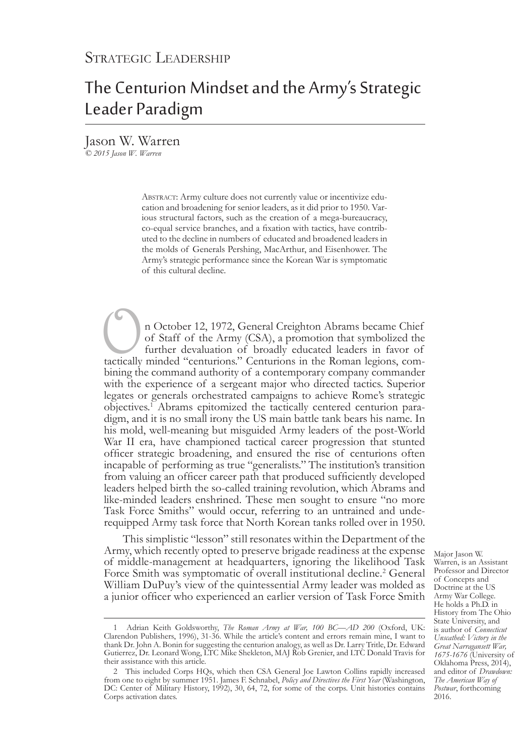# The Centurion Mindset and the Army's Strategic Leader Paradigm

Jason W. Warren *© 2015 Jason W. Warren*

> ABSTRACT: Army culture does not currently value or incentivize education and broadening for senior leaders, as it did prior to 1950. Various structural factors, such as the creation of a mega-bureaucracy, co-equal service branches, and a fixation with tactics, have contributed to the decline in numbers of educated and broadened leaders in the molds of Generals Pershing, MacArthur, and Eisenhower. The Army's strategic performance since the Korean War is symptomatic of this cultural decline.

In October 12, 1972, General Creighton Abrams became Chief of Staff of the Army (CSA), a promotion that symbolized the further devaluation of broadly educated leaders in favor of tactically minded "centurions." Centurions of Staff of the Army (CSA), a promotion that symbolized the further devaluation of broadly educated leaders in favor of bining the command authority of a contemporary company commander with the experience of a sergeant major who directed tactics. Superior legates or generals orchestrated campaigns to achieve Rome's strategic objectives.<sup>1</sup> Abrams epitomized the tactically centered centurion paradigm, and it is no small irony the US main battle tank bears his name. In his mold, well-meaning but misguided Army leaders of the post-World War II era, have championed tactical career progression that stunted officer strategic broadening, and ensured the rise of centurions often incapable of performing as true "generalists." The institution's transition from valuing an officer career path that produced sufficiently developed leaders helped birth the so-called training revolution, which Abrams and like-minded leaders enshrined. These men sought to ensure "no more Task Force Smiths" would occur, referring to an untrained and underequipped Army task force that North Korean tanks rolled over in 1950.

This simplistic "lesson" still resonates within the Department of the Army, which recently opted to preserve brigade readiness at the expense of middle-management at headquarters, ignoring the likelihood Task Force Smith was symptomatic of overall institutional decline.<sup>2</sup> General William DuPuy's view of the quintessential Army leader was molded as a junior officer who experienced an earlier version of Task Force Smith

Major Jason W. Warren, is an Assistant Professor and Director of Concepts and Doctrine at the US Army War College. He holds a Ph.D. in History from The Ohio State University, and is author of *Connecticut Unscathed: Victory in the Great Narragansett War, 1675-1676* (University of Oklahoma Press, 2014), and editor of *Drawdown: The American Way of Postwar*, forthcoming 2016.

<sup>1</sup> Adrian Keith Goldsworthy, *The Roman Army at War, 100 BC—AD 200* (Oxford, UK: Clarendon Publishers, 1996), 31-36. While the article's content and errors remain mine, I want to thank Dr. John A. Bonin for suggesting the centurion analogy, as well as Dr. Larry Tritle, Dr. Edward Gutierrez, Dr. Leonard Wong, LTC Mike Shekleton, MAJ Rob Grenier, and LTC Donald Travis for their assistance with this article.

<sup>2</sup> This included Corps HQs, which then CSA General Joe Lawton Collins rapidly increased from one to eight by summer 1951. James F. Schnabel, *Policy and Directives the First Year* (Washington, DC: Center of Military History, 1992), 30, 64, 72, for some of the corps. Unit histories contains Corps activation dates.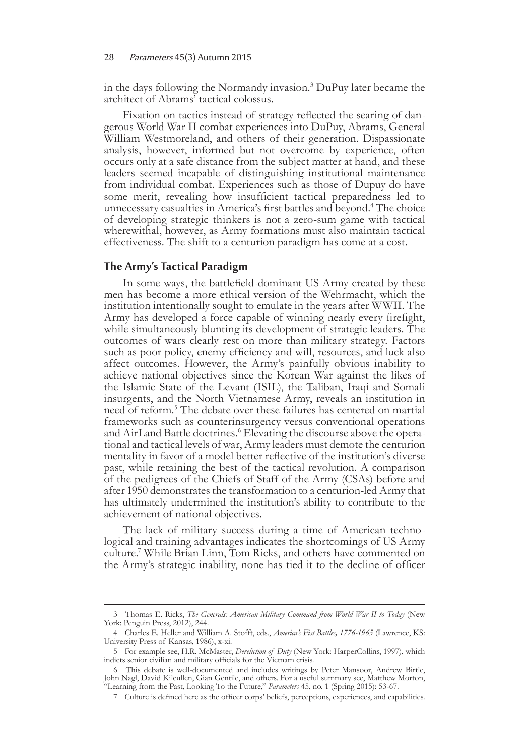#### 28 Parameters 45(3) Autumn 2015

in the days following the Normandy invasion.<sup>3</sup> DuPuy later became the architect of Abrams' tactical colossus.

Fixation on tactics instead of strategy reflected the searing of dan- gerous World War II combat experiences into DuPuy, Abrams, General William Westmoreland, and others of their generation. Dispassionate analysis, however, informed but not overcome by experience, often occurs only at a safe distance from the subject matter at hand, and these leaders seemed incapable of distinguishing institutional maintenance from individual combat. Experiences such as those of Dupuy do have some merit, revealing how insufficient tactical preparedness led to unnecessary casualties in America's first battles and beyond.<sup>4</sup> The choice of developing strategic thinkers is not a zero-sum game with tactical wherewithal, however, as Army formations must also maintain tactical effectiveness. The shift to a centurion paradigm has come at a cost.

### **The Army's Tactical Paradigm**

In some ways, the battlefield-dominant US Army created by these men has become a more ethical version of the Wehrmacht, which the institution intentionally sought to emulate in the years after WWII. The Army has developed a force capable of winning nearly every firefight, while simultaneously blunting its development of strategic leaders. The outcomes of wars clearly rest on more than military strategy. Factors such as poor policy, enemy efficiency and will, resources, and luck also affect outcomes. However, the Army's painfully obvious inability to achieve national objectives since the Korean War against the likes of the Islamic State of the Levant (ISIL), the Taliban, Iraqi and Somali insurgents, and the North Vietnamese Army, reveals an institution in need of reform.5 The debate over these failures has centered on martial frameworks such as counterinsurgency versus conventional operations and AirLand Battle doctrines.<sup>6</sup> Elevating the discourse above the operational and tactical levels of war, Army leaders must demote the centurion mentality in favor of a model better reflective of the institution's diverse past, while retaining the best of the tactical revolution. A comparison of the pedigrees of the Chiefs of Staff of the Army (CSAs) before and after 1950 demonstrates the transformation to a centurion-led Army that has ultimately undermined the institution's ability to contribute to the achievement of national objectives.

The lack of military success during a time of American techno- logical and training advantages indicates the shortcomings of US Army culture.7 While Brian Linn, Tom Ricks, and others have commented on the Army's strategic inability, none has tied it to the decline of officer

<sup>3</sup> Thomas E. Ricks, *The Generals: American Military Command from World War II to Today* (New York: Penguin Press, 2012), 244.

<sup>4</sup> Charles E. Heller and William A. Stofft, eds., *America's Fist Battles, 1776-1965* (Lawrence, KS: University Press of Kansas, 1986), x-xi.

<sup>5</sup> For example see, H.R. McMaster, *Dereliction of Duty* (New York: HarperCollins, 1997), which indicts senior civilian and military officials for the Vietnam crisis.

<sup>6</sup> This debate is well-documented and includes writings by Peter Mansoor, Andrew Birtle, John Nagl, David Kilcullen, Gian Gentile, and others. For a useful summary see, Matthew Morton, "Learning from the Past, Looking To the Future," *Parameters* 45, no. 1 (Spring 2015): 53-67.

<sup>7</sup> Culture is defined here as the officer corps' beliefs, perceptions, experiences, and capabilities.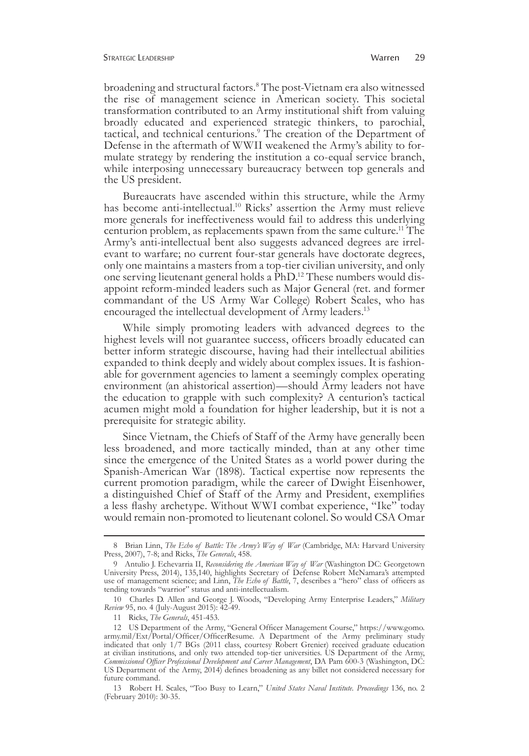broadening and structural factors.8 The post-Vietnam era also witnessed the rise of management science in American society. This societal transformation contributed to an Army institutional shift from valuing broadly educated and experienced strategic thinkers, to parochial, tactical, and technical centurions.<sup>9</sup> The creation of the Department of Defense in the aftermath of WWII weakened the Army's ability to for- mulate strategy by rendering the institution a co-equal service branch, while interposing unnecessary bureaucracy between top generals and the US president.

Bureaucrats have ascended within this structure, while the Army has become anti-intellectual.<sup>10</sup> Ricks' assertion the Army must relieve more generals for ineffectiveness would fail to address this underlying centurion problem, as replacements spawn from the same culture.<sup>11</sup> The Army's anti-intellectual bent also suggests advanced degrees are irrel- evant to warfare; no current four-star generals have doctorate degrees, only one maintains a masters from a top-tier civilian university, and only one serving lieutenant general holds a PhD.<sup>12</sup> These numbers would dis- appoint reform-minded leaders such as Major General (ret. and former commandant of the US Army War College) Robert Scales, who has encouraged the intellectual development of Army leaders.<sup>13</sup>

While simply promoting leaders with advanced degrees to the highest levels will not guarantee success, officers broadly educated can better inform strategic discourse, having had their intellectual abilities expanded to think deeply and widely about complex issues. It is fashionable for government agencies to lament a seemingly complex operating environment (an ahistorical assertion)—should Army leaders not have the education to grapple with such complexity? A centurion's tactical acumen might mold a foundation for higher leadership, but it is not a prerequisite for strategic ability.

Since Vietnam, the Chiefs of Staff of the Army have generally been less broadened, and more tactically minded, than at any other time since the emergence of the United States as a world power during the Spanish-American War (1898). Tactical expertise now represents the current promotion paradigm, while the career of Dwight Eisenhower, a distinguished Chief of Staff of the Army and President, exemplifies a less flashy archetype. Without WWI combat experience, "Ike" today would remain non-promoted to lieutenant colonel. So would CSA Omar

<sup>8</sup> Brian Linn, *The Echo of Battle: The Army's Way of War* (Cambridge, MA: Harvard University Press, 2007), 7-8; and Ricks, *The Generals*, 458.

<sup>9</sup> Antulio J. Echevarria II, *Reconsidering the American Way of War* (Washington DC: Georgetown University Press, 2014), 135,140, highlights Secretary of Defense Robert McNamara's attempted use of management science; and Linn, *The Echo of Battle*, 7, describes a "hero" class of officers as tending towards "warrior" status and anti-intellectualism.

<sup>10</sup> Charles D. Allen and George J. Woods, "Developing Army Enterprise Leaders," *Military Review* 95, no. 4 (July-August 2015): 42-49.

<sup>11</sup> Ricks, *The Generals*, 451-453.

<sup>12</sup> US Department of the Army, "General Officer Management Course," https://www.gomo. army.mil/Ext/Portal/Officer/OfficerResume. A Department of the Army preliminary study indicated that only 1/7 BGs (2011 class, courtesy Robert Grenier) received graduate education at civilian institutions, and only two attended top-tier universities. US Department of the Army, *Commissioned Officer Professional Development and Career Management*, DA Pam 600-3 (Washington, DC: US Department of the Army, 2014) defines broadening as any billet not considered necessary for future command.

<sup>13</sup> Robert H. Scales, "Too Busy to Learn," *United States Naval Institute. Proceedings* 136, no. 2 (February 2010): 30-35.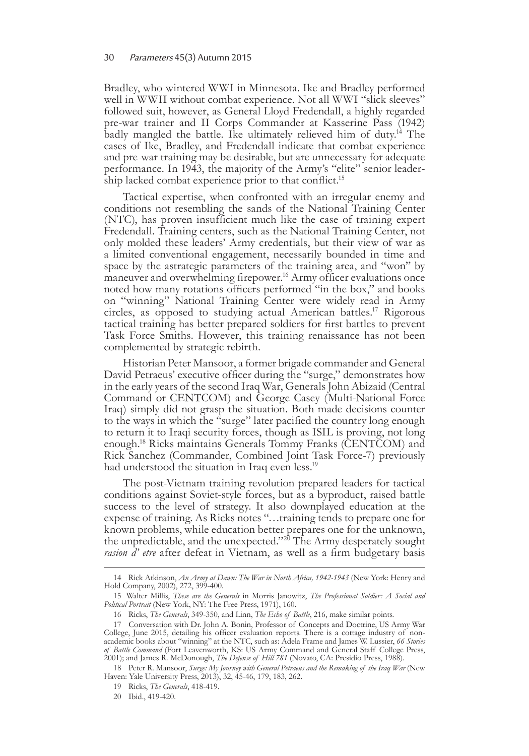Bradley, who wintered WWI in Minnesota. Ike and Bradley performed well in WWII without combat experience. Not all WWI "slick sleeves" followed suit, however, as General Lloyd Fredendall, a highly regarded pre-war trainer and II Corps Commander at Kasserine Pass (1942) badly mangled the battle. Ike ultimately relieved him of duty.<sup>14</sup> The cases of Ike, Bradley, and Fredendall indicate that combat experience and pre-war training may be desirable, but are unnecessary for adequate performance. In 1943, the majority of the Army's "elite" senior leadership lacked combat experience prior to that conflict.<sup>15</sup>

Tactical expertise, when confronted with an irregular enemy and conditions not resembling the sands of the National Training Center (NTC), has proven insufficient much like the case of training expert Fredendall. Training centers, such as the National Training Center, not only molded these leaders' Army credentials, but their view of war as a limited conventional engagement, necessarily bounded in time and space by the astrategic parameters of the training area, and "won" by maneuver and overwhelming firepower.<sup>16</sup> Army officer evaluations once noted how many rotations officers performed "in the box," and books on "winning" National Training Center were widely read in Army circles, as opposed to studying actual American battles.17 Rigorous tactical training has better prepared soldiers for first battles to prevent Task Force Smiths. However, this training renaissance has not been complemented by strategic rebirth.

Historian Peter Mansoor, a former brigade commander and General David Petraeus' executive officer during the "surge," demonstrates how in the early years of the second Iraq War, Generals John Abizaid (Central Command or CENTCOM) and George Casey (Multi-National Force Iraq) simply did not grasp the situation. Both made decisions counter to the ways in which the "surge" later pacified the country long enough to return it to Iraqi security forces, though as ISIL is proving, not long enough.18 Ricks maintains Generals Tommy Franks (CENTCOM) and Rick Sanchez (Commander, Combined Joint Task Force-7) previously had understood the situation in Iraq even less.<sup>19</sup>

The post-Vietnam training revolution prepared leaders for tactical conditions against Soviet-style forces, but as a byproduct, raised battle success to the level of strategy. It also downplayed education at the expense of training. As Ricks notes "…training tends to prepare one for known problems, while education better prepares one for the unknown, the unpredictable, and the unexpected."<sup>20</sup> The Army desperately sought *rasion d' etre* after defeat in Vietnam, as well as a firm budgetary basis

<sup>14</sup> Rick Atkinson, *An Army at Dawn: The War in North Africa, 1942-1943* (New York: Henry and Hold Company, 2002), 272, 399-400.

<sup>15</sup> Walter Millis, *These are the Generals* in Morris Janowitz, *The Professional Soldier: A Social and Political Portrait* (New York, NY: The Free Press, 1971), 160.

<sup>16</sup> Ricks, *The Generals*, 349-350, and Linn, *The Echo of Battle*, 216, make similar points.

<sup>17</sup> Conversation with Dr. John A. Bonin, Professor of Concepts and Doctrine, US Army War College, June 2015, detailing his officer evaluation reports. There is a cottage industry of nonacademic books about "winning" at the NTC, such as: Adela Frame and James W. Lussier, *66 Stories of Battle Command* (Fort Leavenworth, KS: US Army Command and General Staff College Press, 2001); and James R. McDonough, *The Defense of Hill 781* (Novato, CA: Presidio Press, 1988).

<sup>18</sup> Peter R. Mansoor, *Surge: My Journey with General Petraeus and the Remaking of the Iraq War* (New Haven: Yale University Press, 2013), 32, 45-46, 179, 183, 262.

<sup>19</sup> Ricks, *The Generals*, 418-419.

<sup>20</sup> Ibid., 419-420.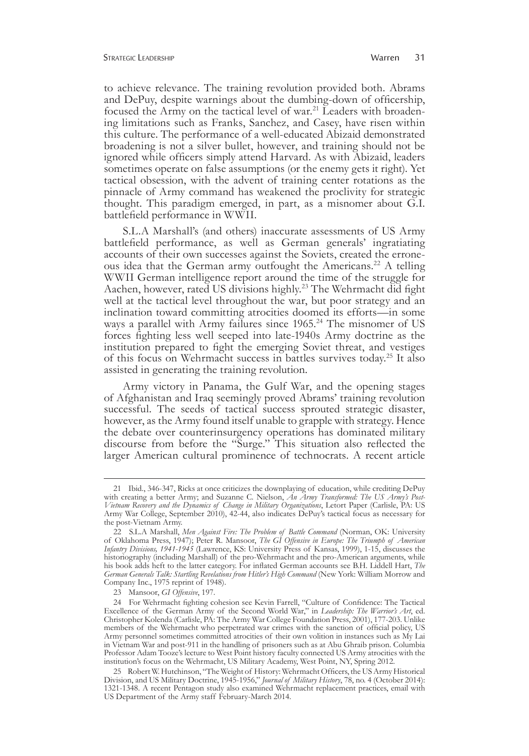to achieve relevance. The training revolution provided both. Abrams and DePuy, despite warnings about the dumbing-down of officership, focused the Army on the tactical level of war.<sup>21</sup> Leaders with broaden-<br>ing limitations such as Franks, Sanchez, and Casey, have risen within this culture. The performance of a well-educated Abizaid demonstrated broadening is not a silver bullet, however, and training should not be ignored while officers simply attend Harvard. As with Abizaid, leaders sometimes operate on false assumptions (or the enemy gets it right). Yet tactical obsession, with the advent of training center rotations as the pinnacle of Army command has weakened the proclivity for strategic thought. This paradigm emerged, in part, as a misnomer about G.I. battlefield performance in WWII.

S.L.A Marshall's (and others) inaccurate assessments of US Army battlefield performance, as well as German generals' ingratiating accounts of their own successes against the Soviets, created the erroneous idea that the German army outfought the Americans.<sup>22</sup> A telling WWII German intelligence report around the time of the struggle for Aachen, however, rated US divisions highly.<sup>23</sup> The Wehrmacht did fight well at the tactical level throughout the war, but poor strategy and an inclination toward committing atrocities doomed its efforts—in some ways a parallel with Army failures since 1965.<sup>24</sup> The misnomer of US forces fighting less well seeped into late-1940s Army doctrine as the institution prepared to fight the emerging Soviet threat, and vestiges of this focus on Wehrmacht success in battles survives today.25 It also assisted in generating the training revolution.

Army victory in Panama, the Gulf War, and the opening stages of Afghanistan and Iraq seemingly proved Abrams' training revolution successful. The seeds of tactical success sprouted strategic disaster, however, as the Army found itself unable to grapple with strategy. Hence the debate over counterinsurgency operations has dominated military discourse from before the "Surge." This situation also reflected the larger American cultural prominence of technocrats. A recent article

<sup>21</sup> Ibid., 346-347, Ricks at once criticizes the downplaying of education, while crediting DePuy with creating a better Army; and Suzanne C. Nielson, *An Army Transformed: The US Army's Post-Vietnam Recovery and the Dynamics of Change in Military Organizations*, Letort Paper (Carlisle, PA: US Army War College, September 2010), 42-44, also indicates DePuy's tactical focus as necessary for the post-Vietnam Army.

<sup>22</sup> S.L.A Marshall, *Men Against Fire: The Problem of Battle Command* (Norman, OK: University of Oklahoma Press, 1947); Peter R. Mansoor, *The GI Offensive in Europe: The Triumph of American Infantry Divisions, 1941-1945* (Lawrence, KS: University Press of Kansas, 1999), 1-15, discusses the historiography (including Marshall) of the pro-Wehrmacht and the pro-American arguments, while his book adds heft to the latter category. For inflated German accounts see B.H. Liddell Hart, *The German Generals Talk: Startling Revelations from Hitler's High Command* (New York: William Morrow and Company Inc., 1975 reprint of 1948).

<sup>23</sup> Mansoor, *GI Offensive*, 197.

<sup>24</sup> For Wehrmacht fighting cohesion see Kevin Farrell, "Culture of Confidence: The Tactical Excellence of the German Army of the Second World War," in *Leadership: The Warrior's Art*, ed. Christopher Kolenda (Carlisle, PA: The Army War College Foundation Press, 2001), 177-203. Unlike members of the Wehrmacht who perpetrated war crimes with the sanction of official policy, US Army personnel sometimes committed atrocities of their own volition in instances such as My Lai in Vietnam War and post-911 in the handling of prisoners such as at Abu Ghraib prison. Columbia Professor Adam Tooze's lecture to West Point history faculty connected US Army atrocities with the institution's focus on the Wehrmacht, US Military Academy, West Point, NY, Spring 2012.

<sup>25</sup> Robert W. Hutchinson, "The Weight of History: Wehrmacht Officers, the US Army Historical Division, and US Military Doctrine, 1945-1956," *Journal of Military History*, 78, no. 4 (October 2014): 1321-1348. A recent Pentagon study also examined Wehrmacht replacement practices, email with US Department of the Army staff February-March 2014.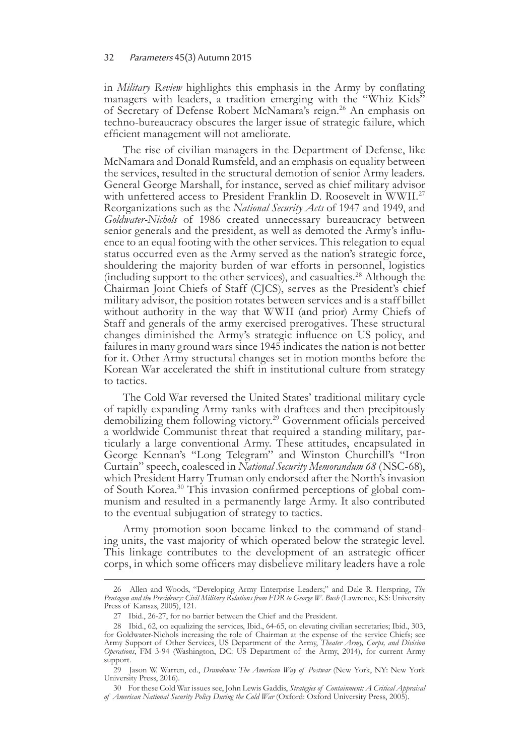#### 32 Parameters 45(3) Autumn 2015

in *Military Review* highlights this emphasis in the Army by conflating managers with leaders, a tradition emerging with the "Whiz Kids" of Secretary of Defense Robert McNamara's reign.<sup>26</sup> An emphasis on techno-bureaucracy obscures the larger issue of strategic failure, which efficient management will not ameliorate.

The rise of civilian managers in the Department of Defense, like McNamara and Donald Rumsfeld, and an emphasis on equality between the services, resulted in the structural demotion of senior Army leaders. General George Marshall, for instance, served as chief military advisor with unfettered access to President Franklin D. Roosevelt in WWII.<sup>27</sup> Reorganizations such as the *National Security Acts* of 1947 and 1949, and *Goldwater-Nichols* of 1986 created unnecessary bureaucracy between senior generals and the president, as well as demoted the Army's influ- ence to an equal footing with the other services. This relegation to equal status occurred even as the Army served as the nation's strategic force, shouldering the majority burden of war efforts in personnel, logistics (including support to the other services), and casualties.28 Although the Chairman Joint Chiefs of Staff (CJCS), serves as the President's chief military advisor, the position rotates between services and is a staff billet without authority in the way that WWII (and prior) Army Chiefs of Staff and generals of the army exercised prerogatives. These structural changes diminished the Army's strategic influence on US policy, and failures in many ground wars since 1945 indicates the nation is not better for it. Other Army structural changes set in motion months before the Korean War accelerated the shift in institutional culture from strategy to tactics.

The Cold War reversed the United States' traditional military cycle of rapidly expanding Army ranks with draftees and then precipitously demobilizing them following victory.<sup>29</sup> Government officials perceived a worldwide Communist threat that required a standing military, particularly a large conventional Army. These attitudes, encapsulated in George Kennan's "Long Telegram" and Winston Churchill's "Iron Curtain" speech, coalesced in *National Security Memorandum 68* (NSC-68), which President Harry Truman only endorsed after the North's invasion of South Korea.30 This invasion confirmed perceptions of global com- munism and resulted in a permanently large Army. It also contributed to the eventual subjugation of strategy to tactics.

Army promotion soon became linked to the command of standing units, the vast majority of which operated below the strategic level. This linkage contributes to the development of an astrategic officer corps, in which some officers may disbelieve military leaders have a role

<sup>26</sup> Allen and Woods, "Developing Army Enterprise Leaders;" and Dale R. Herspring, *The Pentagon and the Presidency: Civil Military Relations from FDR to George W. Bush* (Lawrence, KS: University Press of Kansas, 2005), 121.

<sup>27</sup> Ibid., 26-27, for no barrier between the Chief and the President.

<sup>28</sup> Ibid., 62, on equalizing the services, Ibid., 64-65, on elevating civilian secretaries; Ibid., 303, for Goldwater-Nichols increasing the role of Chairman at the expense of the service Chiefs; see Army Support of Other Services, US Department of the Army, *Theater Army, Corps, and Division Operations*, FM 3-94 (Washington, DC: US Department of the Army, 2014), for current Army support.

<sup>29</sup> Jason W. Warren, ed., *Drawdown: The American Way of Postwar* (New York, NY: New York University Press, 2016).

<sup>30</sup> For these Cold War issues see, John Lewis Gaddis, *Strategies of Containment: A Critical Appraisal of American National Security Policy During the Cold War* (Oxford: Oxford University Press, 2005).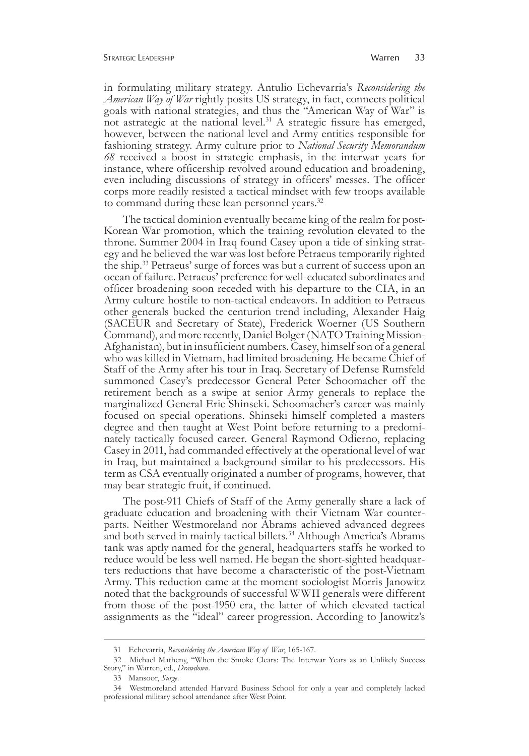in formulating military strategy. Antulio Echevarria's *Reconsidering the American Way of War* rightly posits US strategy, in fact, connects political goals with national strategies, and thus the "American Way of War" is not astrategic at the national level.<sup>31</sup> A strategic fissure has emerged, however, between the national level and Army entities responsible for fashioning strategy. Army culture prior to *National Security Memorandum 68* received a boost in strategic emphasis, in the interwar years for instance, where officership revolved around education and broadening, even including discussions of strategy in officers' messes. The officer corps more readily resisted a tactical mindset with few troops available to command during these lean personnel years.<sup>32</sup>

The tactical dominion eventually became king of the realm for post-Korean War promotion, which the training revolution elevated to the throne. Summer 2004 in Iraq found Casey upon a tide of sinking strat- egy and he believed the war was lost before Petraeus temporarily righted the ship.<sup>33</sup> Petraeus' surge of forces was but a current of success upon an ocean of failure. Petraeus' preference for well-educated subordinates and officer broadening soon receded with his departure to the CIA, in an Army culture hostile to non-tactical endeavors. In addition to Petraeus other generals bucked the centurion trend including, Alexander Haig (SACEUR and Secretary of State), Frederick Woerner (US Southern Command), and more recently, Daniel Bolger (NATO Training Mission-Afghanistan), but in insufficient numbers. Casey, himself son of a general who was killed in Vietnam, had limited broadening. He became Chief of Staff of the Army after his tour in Iraq. Secretary of Defense Rumsfeld summoned Casey's predecessor General Peter Schoomacher off the retirement bench as a swipe at senior Army generals to replace the marginalized General Eric Shinseki. Schoomacher's career was mainly focused on special operations. Shinseki himself completed a masters degree and then taught at West Point before returning to a predominately tactically focused career. General Raymond Odierno, replacing Casey in 2011, had commanded effectively at the operational level of war in Iraq, but maintained a background similar to his predecessors. His term as CSA eventually originated a number of programs, however, that may bear strategic fruit, if continued.

The post-911 Chiefs of Staff of the Army generally share a lack of graduate education and broadening with their Vietnam War counter- parts. Neither Westmoreland nor Abrams achieved advanced degrees and both served in mainly tactical billets.<sup>34</sup> Although America's Abrams tank was aptly named for the general, headquarters staffs he worked to reduce would be less well named. He began the short-sighted headquar- ters reductions that have become a characteristic of the post-Vietnam Army. This reduction came at the moment sociologist Morris Janowitz noted that the backgrounds of successful WWII generals were different from those of the post-1950 era, the latter of which elevated tactical assignments as the "ideal" career progression. According to Janowitz's

<sup>31</sup> Echevarria, *Reconsidering the American Way of War*, 165-167.

<sup>32</sup> Michael Matheny, "When the Smoke Clears: The Interwar Years as an Unlikely Success Story," in Warren, ed., *Drawdown*.

<sup>33</sup> Mansoor, *Surge*.

<sup>34</sup> Westmoreland attended Harvard Business School for only a year and completely lacked professional military school attendance after West Point.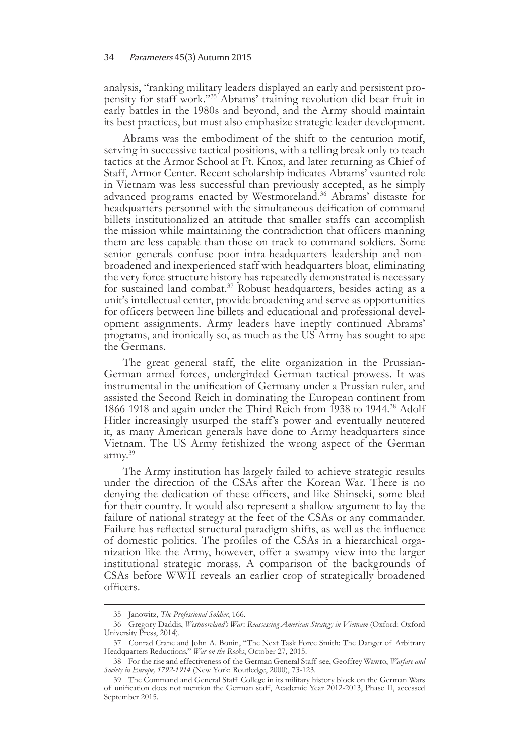analysis, "ranking military leaders displayed an early and persistent pro-<br>pensity for staff work."<sup>35</sup> Abrams' training revolution did bear fruit in early battles in the 1980s and beyond, and the Army should maintain its best practices, but must also emphasize strategic leader development.

Abrams was the embodiment of the shift to the centurion motif, serving in successive tactical positions, with a telling break only to teach tactics at the Armor School at Ft. Knox, and later returning as Chief of Staff, Armor Center. Recent scholarship indicates Abrams' vaunted role in Vietnam was less successful than previously accepted, as he simply advanced programs enacted by Westmoreland.<sup>36</sup> Abrams' distaste for headquarters personnel with the simultaneous deification of command billets institutionalized an attitude that smaller staffs can accomplish the mission while maintaining the contradiction that officers manning them are less capable than those on track to command soldiers. Some senior generals confuse poor intra-headquarters leadership and nonbroadened and inexperienced staff with headquarters bloat, eliminating the very force structure history has repeatedly demonstrated is necessary for sustained land combat.37 Robust headquarters, besides acting as a unit's intellectual center, provide broadening and serve as opportunities for officers between line billets and educational and professional devel- opment assignments. Army leaders have ineptly continued Abrams' programs, and ironically so, as much as the US Army has sought to ape the Germans.

The great general staff, the elite organization in the Prussian-German armed forces, undergirded German tactical prowess. It was instrumental in the unification of Germany under a Prussian ruler, and assisted the Second Reich in dominating the European continent from 1866-1918 and again under the Third Reich from 1938 to 1944.<sup>38</sup> Adolf Hitler increasingly usurped the staff's power and eventually neutered it, as many American generals have done to Army headquarters since Vietnam. The US Army fetishized the wrong aspect of the German army.39

The Army institution has largely failed to achieve strategic results under the direction of the CSAs after the Korean War. There is no denying the dedication of these officers, and like Shinseki, some bled for their country. It would also represent a shallow argument to lay the failure of national strategy at the feet of the CSAs or any commander. Failure has reflected structural paradigm shifts, as well as the influence of domestic politics. The profiles of the CSAs in a hierarchical organization like the Army, however, offer a swampy view into the larger institutional strategic morass. A comparison of the backgrounds of CSAs before WWII reveals an earlier crop of strategically broadened officers.

<sup>35</sup> Janowitz, *The Professional Soldier*, 166.

<sup>36</sup> Gregory Daddis, *Westmoreland's War: Reassessing American Strategy in Vietnam* (Oxford: Oxford University Press, 2014).

<sup>37</sup> Conrad Crane and John A. Bonin, "The Next Task Force Smith: The Danger of Arbitrary Headquarters Reductions," *War on the Rocks*, October 27, 2015.

<sup>38</sup> For the rise and effectiveness of the German General Staff see, Geoffrey Wawro, *Warfare and Society in Europe, 1792-1914* (New York: Routledge, 2000), 73-123.

<sup>39</sup> The Command and General Staff College in its military history block on the German Wars of unification does not mention the German staff, Academic Year 2012-2013, Phase II, accessed September 2015.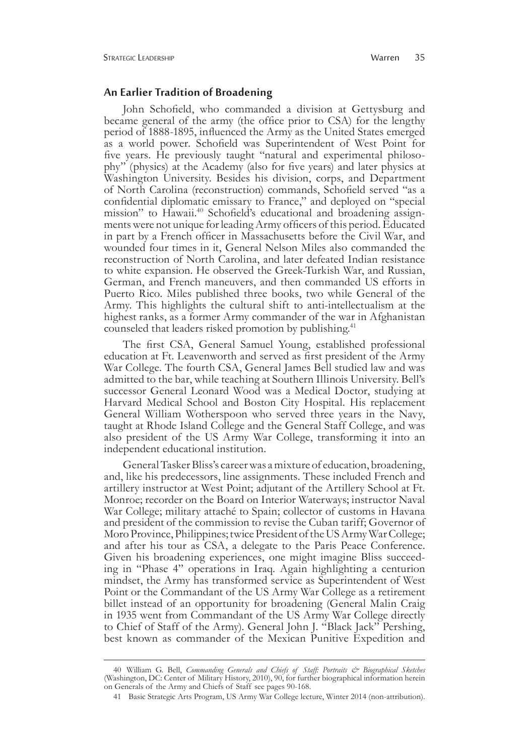#### **An Earlier Tradition of Broadening**

John Schofield, who commanded a division at Gettysburg and became general of the army (the office prior to CSA) for the lengthy period of 1888-1895, influenced the Army as the United States emerged as a world power. Schofield was Superintendent of West Point for five years. He previously taught "natural and experimental philosophy" (physics) at the Academy (also for five years) and later physics at Washington University. Besides his division, corps, and Department of North Carolina (reconstruction) commands, Schofield served "as a confidential diplomatic emissary to France," and deployed on "special mission" to Hawaii.40 Schofield's educational and broadening assignments were not unique for leading Army officers of this period. Educated in part by a French officer in Massachusetts before the Civil War, and wounded four times in it, General Nelson Miles also commanded the reconstruction of North Carolina, and later defeated Indian resistance to white expansion. He observed the Greek-Turkish War, and Russian, German, and French maneuvers, and then commanded US efforts in Puerto Rico. Miles published three books, two while General of the Army. This highlights the cultural shift to anti-intellectualism at the highest ranks, as a former Army commander of the war in Afghanistan counseled that leaders risked promotion by publishing.<sup>41</sup>

The first CSA, General Samuel Young, established professional education at Ft. Leavenworth and served as first president of the Army War College. The fourth CSA, General James Bell studied law and was admitted to the bar, while teaching at Southern Illinois University. Bell's successor General Leonard Wood was a Medical Doctor, studying at Harvard Medical School and Boston City Hospital. His replacement General William Wotherspoon who served three years in the Navy, taught at Rhode Island College and the General Staff College, and was also president of the US Army War College, transforming it into an independent educational institution.

General Tasker Bliss's career was a mixture of education, broadening, and, like his predecessors, line assignments. These included French and artillery instructor at West Point; adjutant of the Artillery School at Ft. Monroe; recorder on the Board on Interior Waterways; instructor Naval War College; military attaché to Spain; collector of customs in Havana and president of the commission to revise the Cuban tariff; Governor of Moro Province, Philippines; twice President of the US Army War College; and after his tour as CSA, a delegate to the Paris Peace Conference. Given his broadening experiences, one might imagine Bliss succeed- ing in "Phase 4" operations in Iraq. Again highlighting a centurion mindset, the Army has transformed service as Superintendent of West Point or the Commandant of the US Army War College as a retirement billet instead of an opportunity for broadening (General Malin Craig in 1935 went from Commandant of the US Army War College directly to Chief of Staff of the Army). General John J. "Black Jack" Pershing, best known as commander of the Mexican Punitive Expedition and

<sup>40</sup>William G. Bell, *Commanding Generals and Chiefs of Staff: Portraits & Biographical Sketches* (Washington, DC: Center of Military History, 2010), 90, for further biographical information herein on Generals of the Army and Chiefs of Staff see pages 90-168.

<sup>41</sup> Basic Strategic Arts Program, US Army War College lecture, Winter 2014 (non-attribution).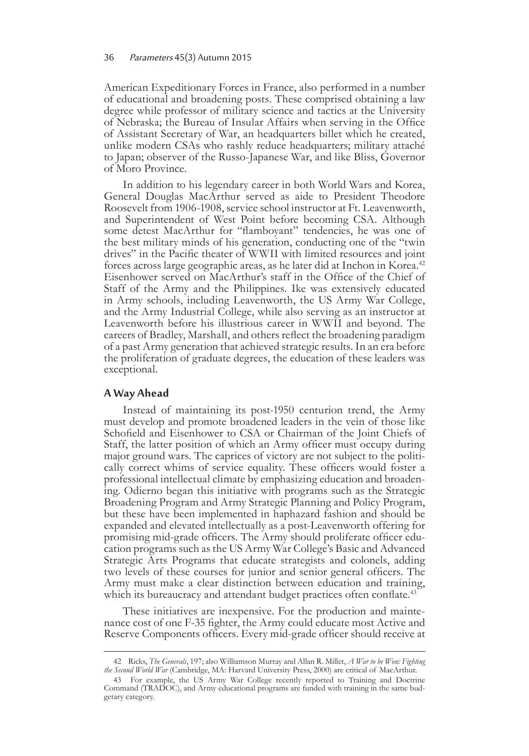American Expeditionary Forces in France, also performed in a number of educational and broadening posts. These comprised obtaining a law degree while professor of military science and tactics at the University of Nebraska; the Bureau of Insular Affairs when serving in the Office of Assistant Secretary of War, an headquarters billet which he created, unlike modern CSAs who rashly reduce headquarters; military attaché to Japan; observer of the Russo-Japanese War, and like Bliss, Governor of Moro Province.

In addition to his legendary career in both World Wars and Korea, General Douglas MacArthur served as aide to President Theodore Roosevelt from 1906-1908, service school instructor at Ft. Leavenworth, and Superintendent of West Point before becoming CSA. Although some detest MacArthur for "flamboyant" tendencies, he was one of the best military minds of his generation, conducting one of the "twin drives" in the Pacific theater of WWII with limited resources and joint forces across large geographic areas, as he later did at Inchon in Korea.<sup>42</sup> Eisenhower served on MacArthur's staff in the Office of the Chief of Staff of the Army and the Philippines. Ike was extensively educated in Army schools, including Leavenworth, the US Army War College, and the Army Industrial College, while also serving as an instructor at Leavenworth before his illustrious career in WWII and beyond. The careers of Bradley, Marshall, and others reflect the broadening paradigm of a past Army generation that achieved strategic results. In an era before the proliferation of graduate degrees, the education of these leaders was exceptional.

### **A Way Ahead**

Instead of maintaining its post-1950 centurion trend, the Army must develop and promote broadened leaders in the vein of those like Schofield and Eisenhower to CSA or Chairman of the Joint Chiefs of Staff, the latter position of which an Army officer must occupy during major ground wars. The caprices of victory are not subject to the politically correct whims of service equality. These officers would foster a professional intellectual climate by emphasizing education and broaden- ing. Odierno began this initiative with programs such as the Strategic Broadening Program and Army Strategic Planning and Policy Program, but these have been implemented in haphazard fashion and should be expanded and elevated intellectually as a post-Leavenworth offering for promising mid-grade officers. The Army should proliferate officer education programs such as the US Army War College's Basic and Advanced Strategic Arts Programs that educate strategists and colonels, adding two levels of these courses for junior and senior general officers. The Army must make a clear distinction between education and training, which its bureaucracy and attendant budget practices often conflate.<sup>43</sup>

These initiatives are inexpensive. For the production and maintenance cost of one F-35 fighter, the Army could educate most Active and Reserve Components officers. Every mid-grade officer should receive at

<sup>42</sup> Ricks, *The Generals*, 197; also Williamson Murray and Allan R. Millet, *A War to be Won: Fighting the Second World War* (Cambridge, MA: Harvard University Press, 2000) are critical of MacArthur.

<sup>43</sup> For example, the US Army War College recently reported to Training and Doctrine Command (TRADOC), and Army educational programs are funded with training in the same budgetary category.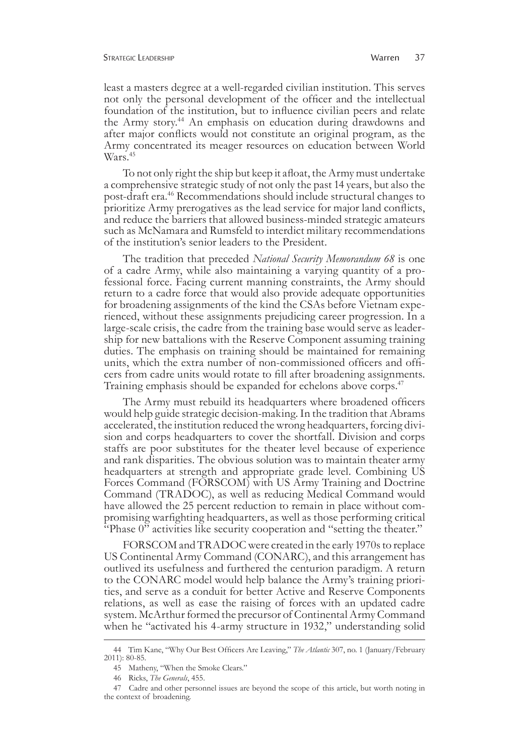least a masters degree at a well-regarded civilian institution. This serves not only the personal development of the officer and the intellectual foundation of the institution, but to influence civilian peers and relate the Army story.<sup>44</sup> An emphasis on education during drawdowns and after major conflicts would not constitute an original program, as the Army concentrated its meager resources on education between World Wars.<sup>45</sup>

To not only right the ship but keep it afloat, the Army must undertake a comprehensive strategic study of not only the past 14 years, but also the post-draft era.<sup>46</sup> Recommendations should include structural changes to prioritize Army prerogatives as the lead service for major land conflicts, and reduce the barriers that allowed business-minded strategic amateurs such as McNamara and Rumsfeld to interdict military recommendations of the institution's senior leaders to the President.

The tradition that preceded *National Security Memorandum 68* is one of a cadre Army, while also maintaining a varying quantity of a professional force. Facing current manning constraints, the Army should return to a cadre force that would also provide adequate opportunities for broadening assignments of the kind the CSAs before Vietnam experienced, without these assignments prejudicing career progression. In a large-scale crisis, the cadre from the training base would serve as leadership for new battalions with the Reserve Component assuming training duties. The emphasis on training should be maintained for remaining units, which the extra number of non-commissioned officers and officers from cadre units would rotate to fill after broadening assignments. Training emphasis should be expanded for echelons above corps.<sup>47</sup>

The Army must rebuild its headquarters where broadened officers would help guide strategic decision-making. In the tradition that Abrams accelerated, the institution reduced the wrong headquarters, forcing division and corps headquarters to cover the shortfall. Division and corps staffs are poor substitutes for the theater level because of experience and rank disparities. The obvious solution was to maintain theater army headquarters at strength and appropriate grade level. Combining US Forces Command (FORSCOM) with US Army Training and Doctrine Command (TRADOC), as well as reducing Medical Command would have allowed the 25 percent reduction to remain in place without compromising warfighting headquarters, as well as those performing critical "Phase 0" activities like security cooperation and "setting the theater."

FORSCOM and TRADOC were created in the early 1970s to replace US Continental Army Command (CONARC), and this arrangement has outlived its usefulness and furthered the centurion paradigm. A return to the CONARC model would help balance the Army's training priori- ties, and serve as a conduit for better Active and Reserve Components relations, as well as ease the raising of forces with an updated cadre system. McArthur formed the precursor of Continental Army Command when he "activated his 4-army structure in 1932," understanding solid

<sup>44</sup> Tim Kane, "Why Our Best Officers Are Leaving," *The Atlantic* 307, no. 1 (January/February 2011): 80-85.

<sup>45</sup> Matheny, "When the Smoke Clears."

<sup>46</sup> Ricks, *The Generals*, 455.

<sup>47</sup> Cadre and other personnel issues are beyond the scope of this article, but worth noting in the context of broadening.